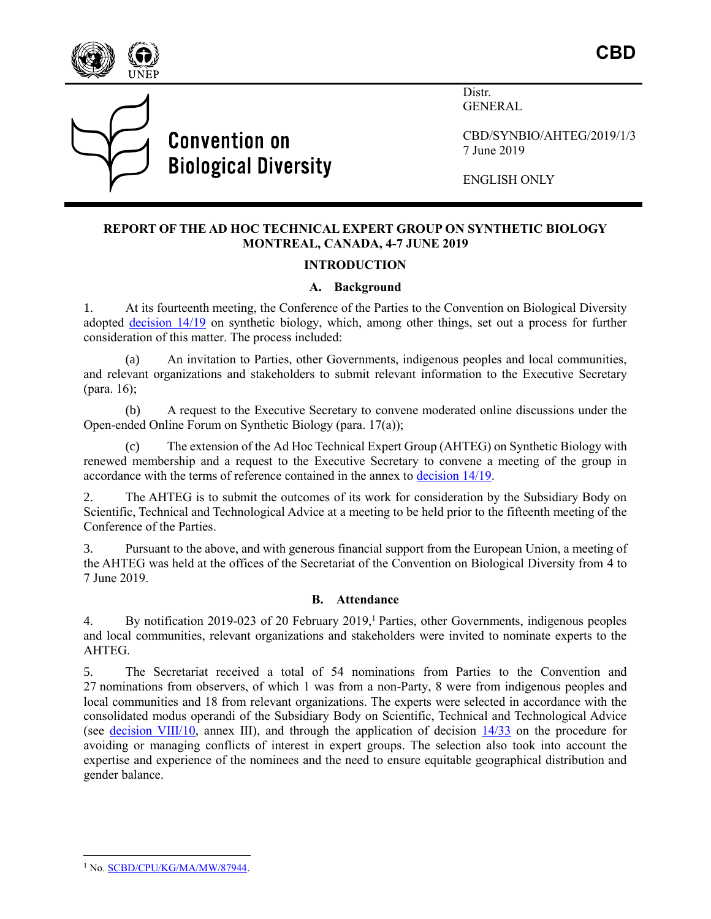

**CBD**



Distr. **GENERAL** 

CBD/SYNBIO/AHTEG/2019/1/3 7 June 2019

ENGLISH ONLY

# **REPORT OF THE AD HOC TECHNICAL EXPERT GROUP ON SYNTHETIC BIOLOGY MONTREAL, CANADA, 4-7 JUNE 2019**

## **INTRODUCTION**

#### **A. Background**

1. At its fourteenth meeting, the Conference of the Parties to the Convention on Biological Diversity adopted [decision 14/19](https://www.cbd.int/doc/decisions/cop-14/cop-14-dec-19-en.pdf) on synthetic biology, which, among other things, set out a process for further consideration of this matter. The process included:

(a) An invitation to Parties, other Governments, indigenous peoples and local communities, and relevant organizations and stakeholders to submit relevant information to the Executive Secretary (para. 16);

(b) A request to the Executive Secretary to convene moderated online discussions under the Open-ended Online Forum on Synthetic Biology (para. 17(a));

(c) The extension of the Ad Hoc Technical Expert Group (AHTEG) on Synthetic Biology with renewed membership and a request to the Executive Secretary to convene a meeting of the group in accordance with the terms of reference contained in the annex to decision 14/19.

2. The AHTEG is to submit the outcomes of its work for consideration by the Subsidiary Body on Scientific, Technical and Technological Advice at a meeting to be held prior to the fifteenth meeting of the Conference of the Parties.

3. Pursuant to the above, and with generous financial support from the European Union, a meeting of the AHTEG was held at the offices of the Secretariat of the Convention on Biological Diversity from 4 to 7 June 2019.

## **B. Attendance**

4. By notification 2019-023 of 20 February 2019, <sup>1</sup> Parties, other Governments, indigenous peoples and local communities, relevant organizations and stakeholders were invited to nominate experts to the AHTEG.

5. The Secretariat received a total of 54 nominations from Parties to the Convention and 27 nominations from observers, of which 1 was from a non-Party, 8 were from indigenous peoples and local communities and 18 from relevant organizations. The experts were selected in accordance with the consolidated modus operandi of the Subsidiary Body on Scientific, Technical and Technological Advice (see [decision VIII/10,](https://www.cbd.int/doc/decisions/cop-08/cop-08-dec-10-en.pdf) annex III), and through the application of decision [14/33](https://www.cbd.int/doc/decisions/cop-14/cop-14-dec-33-en.pdf) on the procedure for avoiding or managing conflicts of interest in expert groups. The selection also took into account the expertise and experience of the nominees and the need to ensure equitable geographical distribution and gender balance.

 $\overline{a}$ <sup>1</sup> No. **SCBD/CPU/KG/MA/MW/87944**.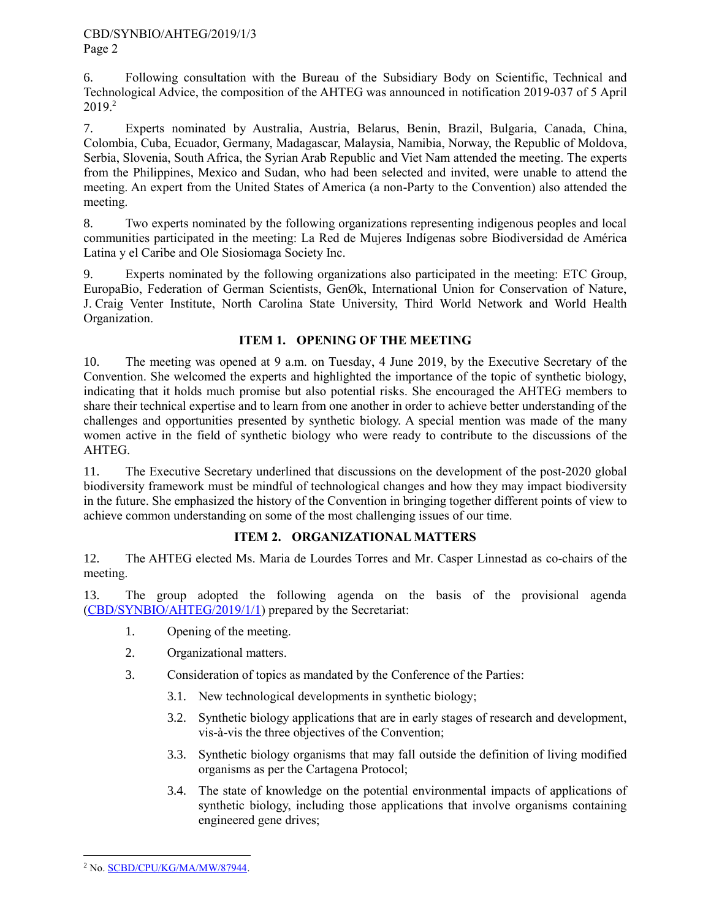6. Following consultation with the Bureau of the Subsidiary Body on Scientific, Technical and Technological Advice, the composition of the AHTEG was announced in notification 2019-037 of 5 April 2019. 2

7. Experts nominated by Australia, Austria, Belarus, Benin, Brazil, Bulgaria, Canada, China, Colombia, Cuba, Ecuador, Germany, Madagascar, Malaysia, Namibia, Norway, the Republic of Moldova, Serbia, Slovenia, South Africa, the Syrian Arab Republic and Viet Nam attended the meeting. The experts from the Philippines, Mexico and Sudan, who had been selected and invited, were unable to attend the meeting. An expert from the United States of America (a non-Party to the Convention) also attended the meeting.

8. Two experts nominated by the following organizations representing indigenous peoples and local communities participated in the meeting: La Red de Mujeres Indígenas sobre Biodiversidad de América Latina y el Caribe and Ole Siosiomaga Society Inc.

9. Experts nominated by the following organizations also participated in the meeting: ETC Group, EuropaBio, Federation of German Scientists, GenØk, International Union for Conservation of Nature, J. Craig Venter Institute, North Carolina State University, Third World Network and World Health Organization.

# **ITEM 1. OPENING OF THE MEETING**

10. The meeting was opened at 9 a.m. on Tuesday, 4 June 2019, by the Executive Secretary of the Convention. She welcomed the experts and highlighted the importance of the topic of synthetic biology, indicating that it holds much promise but also potential risks. She encouraged the AHTEG members to share their technical expertise and to learn from one another in order to achieve better understanding of the challenges and opportunities presented by synthetic biology. A special mention was made of the many women active in the field of synthetic biology who were ready to contribute to the discussions of the AHTEG.

11. The Executive Secretary underlined that discussions on the development of the post-2020 global biodiversity framework must be mindful of technological changes and how they may impact biodiversity in the future. She emphasized the history of the Convention in bringing together different points of view to achieve common understanding on some of the most challenging issues of our time.

# **ITEM 2. ORGANIZATIONAL MATTERS**

12. The AHTEG elected Ms. Maria de Lourdes Torres and Mr. Casper Linnestad as co-chairs of the meeting.

13. The group adopted the following agenda on the basis of the provisional agenda [\(CBD/SYNBIO/AHTEG/2019/1/1\)](https://www.cbd.int/doc/c/5e6f/c5ea/a4613a69d22f5b956464cd29/synbio-ahteg-2019-01-01-en.pdf) prepared by the Secretariat:

- 1. Opening of the meeting.
- 2. Organizational matters.
- 3. Consideration of topics as mandated by the Conference of the Parties:
	- 3.1. New technological developments in synthetic biology;
	- 3.2. Synthetic biology applications that are in early stages of research and development, vis-à-vis the three objectives of the Convention;
	- 3.3. Synthetic biology organisms that may fall outside the definition of living modified organisms as per the Cartagena Protocol;
	- 3.4. The state of knowledge on the potential environmental impacts of applications of synthetic biology, including those applications that involve organisms containing engineered gene drives;

 $\overline{a}$ 

<sup>2</sup> No[. SCBD/CPU/KG/MA/MW/87944.](https://www.cbd.int/doc/notifications/2019/ntf-2019-037-bs-en.pdf)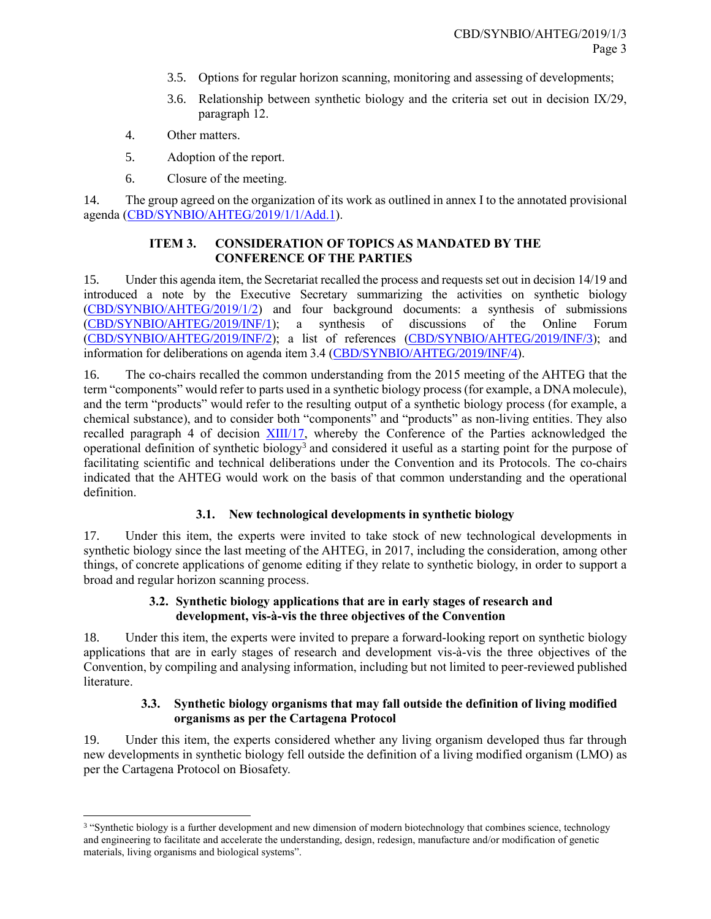- 3.5. Options for regular horizon scanning, monitoring and assessing of developments;
- 3.6. Relationship between synthetic biology and the criteria set out in decision IX/29, paragraph 12.
- 4. Other matters.

 $\overline{\phantom{a}}$ 

- 5. Adoption of the report.
- 6. Closure of the meeting.

14. The group agreed on the organization of its work as outlined in annex I to the annotated provisional agenda [\(CBD/SYNBIO/AHTEG/2019/1/1/Add.1\)](https://www.cbd.int/doc/c/bfc9/313a/a20d89511a65dc8e6a8c77b7/synbio-ahteg-2019-01-01-add1-en.pdf).

# **ITEM 3. CONSIDERATION OF TOPICS AS MANDATED BY THE CONFERENCE OF THE PARTIES**

15. Under this agenda item, the Secretariat recalled the process and requests set out in decision 14/19 and introduced a note by the Executive Secretary summarizing the activities on synthetic biology [\(CBD/SYNBIO/AHTEG/2019/1/2\)](https://www.cbd.int/doc/c/ce25/cb28/e5146103f15a131dd39103f0/synbio-ahteg-2019-01-02-en.pdf) and four background documents: a synthesis of submissions [\(CBD/SYNBIO/AHTEG/2019/INF/1\)](https://www.cbd.int/doc/c/c93c/89f9/f3475a407ceb2371303a030f/synbio-ahteg-2019-01-inf-01-en.pdf); a synthesis of discussions of the Online Forum [\(CBD/SYNBIO/AHTEG/2019/INF/2\)](https://www.cbd.int/doc/c/a89d/c150/9f872abc4831109ed8d03988/synbio-ahteg-2019-01-inf-02-en.pdf); a list of references [\(CBD/SYNBIO/AHTEG/2019/INF/3\)](https://www.cbd.int/doc/c/335e/d1bf/4764e0323393df18f259a291/synbio-ahteg-2019-01-inf-03-en.pdf); and information for deliberations on agenda item 3.4 [\(CBD/SYNBIO/AHTEG/2019/INF/4\)](https://www.cbd.int/doc/c/b512/a227/b9ab92674c7c8d453a220f9d/synbio-ahteg-2019-01-inf-04-en.pdf).

16. The co-chairs recalled the common understanding from the 2015 meeting of the AHTEG that the term "components" would refer to parts used in a synthetic biology process (for example, a DNA molecule), and the term "products" would refer to the resulting output of a synthetic biology process (for example, a chemical substance), and to consider both "components" and "products" as non-living entities. They also recalled paragraph 4 of decision [XIII/17,](https://www.cbd.int/doc/decisions/cop-13/cop-13-dec-17-en.pdf) whereby the Conference of the Parties acknowledged the operational definition of synthetic biology<sup>3</sup> and considered it useful as a starting point for the purpose of facilitating scientific and technical deliberations under the Convention and its Protocols. The co-chairs indicated that the AHTEG would work on the basis of that common understanding and the operational definition.

# **3.1. New technological developments in synthetic biology**

17. Under this item, the experts were invited to take stock of new technological developments in synthetic biology since the last meeting of the AHTEG, in 2017, including the consideration, among other things, of concrete applications of genome editing if they relate to synthetic biology, in order to support a broad and regular horizon scanning process.

# **3.2. Synthetic biology applications that are in early stages of research and development, vis-à-vis the three objectives of the Convention**

18. Under this item, the experts were invited to prepare a forward-looking report on synthetic biology applications that are in early stages of research and development vis-à-vis the three objectives of the Convention, by compiling and analysing information, including but not limited to peer-reviewed published literature.

# **3.3. Synthetic biology organisms that may fall outside the definition of living modified organisms as per the Cartagena Protocol**

19. Under this item, the experts considered whether any living organism developed thus far through new developments in synthetic biology fell outside the definition of a living modified organism (LMO) as per the Cartagena Protocol on Biosafety.

<sup>&</sup>lt;sup>3</sup> "Synthetic biology is a further development and new dimension of modern biotechnology that combines science, technology and engineering to facilitate and accelerate the understanding, design, redesign, manufacture and/or modification of genetic materials, living organisms and biological systems".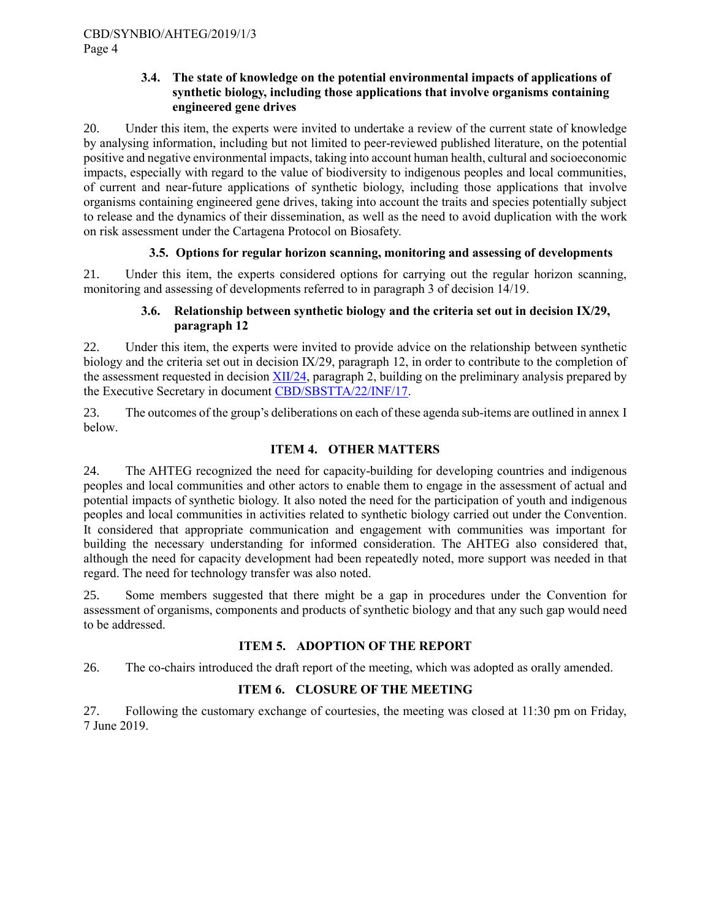## **3.4. The state of knowledge on the potential environmental impacts of applications of synthetic biology, including those applications that involve organisms containing engineered gene drives**

20. Under this item, the experts were invited to undertake a review of the current state of knowledge by analysing information, including but not limited to peer-reviewed published literature, on the potential positive and negative environmental impacts, taking into account human health, cultural and socioeconomic impacts, especially with regard to the value of biodiversity to indigenous peoples and local communities, of current and near-future applications of synthetic biology, including those applications that involve organisms containing engineered gene drives, taking into account the traits and species potentially subject to release and the dynamics of their dissemination, as well as the need to avoid duplication with the work on risk assessment under the Cartagena Protocol on Biosafety.

# **3.5. Options for regular horizon scanning, monitoring and assessing of developments**

21. Under this item, the experts considered options for carrying out the regular horizon scanning, monitoring and assessing of developments referred to in paragraph 3 of decision 14/19.

# **3.6. Relationship between synthetic biology and the criteria set out in decision IX/29, paragraph 12**

22. Under this item, the experts were invited to provide advice on the relationship between synthetic biology and the criteria set out in decision IX/29, paragraph 12, in order to contribute to the completion of the assessment requested in decision [XII/24,](https://www.cbd.int/doc/decisions/cop-12/cop-12-dec-24-en.pdf) paragraph 2, building on the preliminary analysis prepared by the Executive Secretary in document [CBD/SBSTTA/22/INF/17.](https://www.cbd.int/doc/c/0bc5/ef82/a4da41e530a897de6abc3ca7/sbstta-22-inf-17-en.pdf)

23. The outcomes of the group's deliberations on each of these agenda sub-items are outlined in annex I below.

# **ITEM 4. OTHER MATTERS**

24. The AHTEG recognized the need for capacity-building for developing countries and indigenous peoples and local communities and other actors to enable them to engage in the assessment of actual and potential impacts of synthetic biology. It also noted the need for the participation of youth and indigenous peoples and local communities in activities related to synthetic biology carried out under the Convention. It considered that appropriate communication and engagement with communities was important for building the necessary understanding for informed consideration. The AHTEG also considered that, although the need for capacity development had been repeatedly noted, more support was needed in that regard. The need for technology transfer was also noted.

25. Some members suggested that there might be a gap in procedures under the Convention for assessment of organisms, components and products of synthetic biology and that any such gap would need to be addressed.

# **ITEM 5. ADOPTION OF THE REPORT**

26. The co-chairs introduced the draft report of the meeting, which was adopted as orally amended.

# **ITEM 6. CLOSURE OF THE MEETING**

27. Following the customary exchange of courtesies, the meeting was closed at 11:30 pm on Friday, 7 June 2019.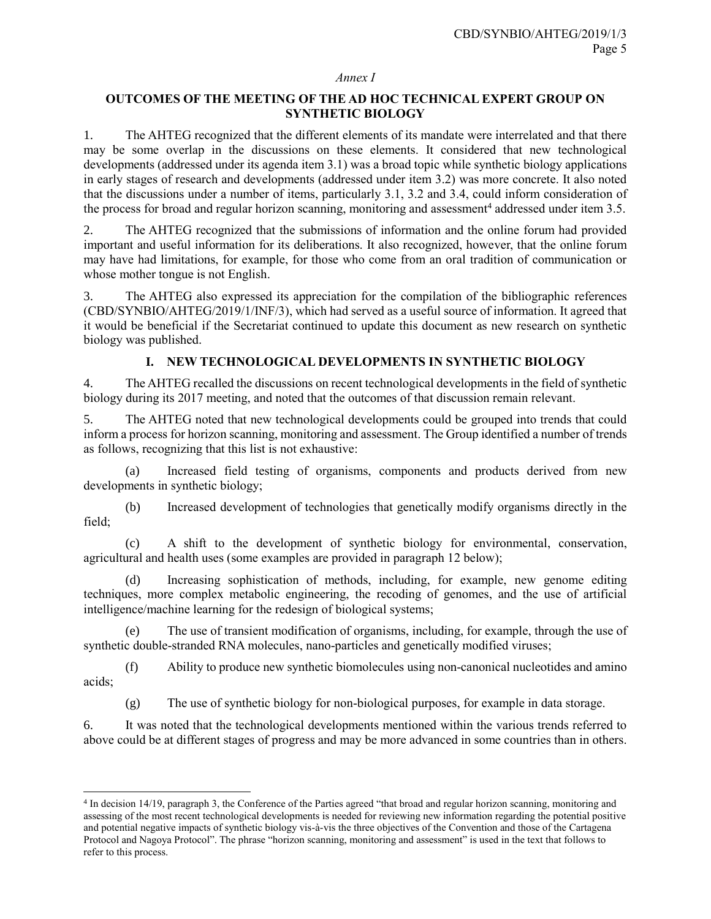#### *Annex I*

# **OUTCOMES OF THE MEETING OF THE AD HOC TECHNICAL EXPERT GROUP ON SYNTHETIC BIOLOGY**

1. The AHTEG recognized that the different elements of its mandate were interrelated and that there may be some overlap in the discussions on these elements. It considered that new technological developments (addressed under its agenda item 3.1) was a broad topic while synthetic biology applications in early stages of research and developments (addressed under item 3.2) was more concrete. It also noted that the discussions under a number of items, particularly 3.1, 3.2 and 3.4, could inform consideration of the process for broad and regular horizon scanning, monitoring and assessment<sup>4</sup> addressed under item 3.5.

2. The AHTEG recognized that the submissions of information and the online forum had provided important and useful information for its deliberations. It also recognized, however, that the online forum may have had limitations, for example, for those who come from an oral tradition of communication or whose mother tongue is not English.

3. The AHTEG also expressed its appreciation for the compilation of the bibliographic references (CBD/SYNBIO/AHTEG/2019/1/INF/3), which had served as a useful source of information. It agreed that it would be beneficial if the Secretariat continued to update this document as new research on synthetic biology was published.

# **I. NEW TECHNOLOGICAL DEVELOPMENTS IN SYNTHETIC BIOLOGY**

4. The AHTEG recalled the discussions on recent technological developments in the field of synthetic biology during its 2017 meeting, and noted that the outcomes of that discussion remain relevant.

5. The AHTEG noted that new technological developments could be grouped into trends that could inform a process for horizon scanning, monitoring and assessment. The Group identified a number of trends as follows, recognizing that this list is not exhaustive:

(a) Increased field testing of organisms, components and products derived from new developments in synthetic biology;

(b) Increased development of technologies that genetically modify organisms directly in the field;

(c) A shift to the development of synthetic biology for environmental, conservation, agricultural and health uses (some examples are provided in paragraph 12 below);

(d) Increasing sophistication of methods, including, for example, new genome editing techniques, more complex metabolic engineering, the recoding of genomes, and the use of artificial intelligence/machine learning for the redesign of biological systems;

The use of transient modification of organisms, including, for example, through the use of synthetic double-stranded RNA molecules, nano-particles and genetically modified viruses;

(f) Ability to produce new synthetic biomolecules using non-canonical nucleotides and amino acids;

(g) The use of synthetic biology for non-biological purposes, for example in data storage.

6. It was noted that the technological developments mentioned within the various trends referred to above could be at different stages of progress and may be more advanced in some countries than in others.

l

<sup>4</sup> In decision 14/19, paragraph 3, the Conference of the Parties agreed "that broad and regular horizon scanning, monitoring and assessing of the most recent technological developments is needed for reviewing new information regarding the potential positive and potential negative impacts of synthetic biology vis-à-vis the three objectives of the Convention and those of the Cartagena Protocol and Nagoya Protocol". The phrase "horizon scanning, monitoring and assessment" is used in the text that follows to refer to this process.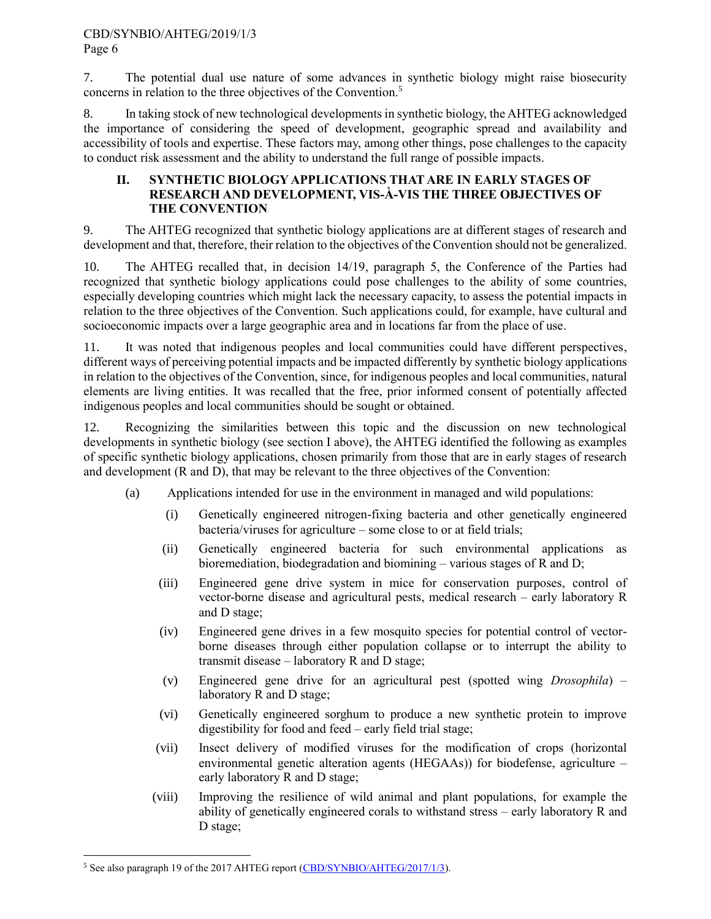## CBD/SYNBIO/AHTEG/2019/1/3 Page 6

7. The potential dual use nature of some advances in synthetic biology might raise biosecurity concerns in relation to the three objectives of the Convention.<sup>5</sup>

8. In taking stock of new technological developments in synthetic biology, the AHTEG acknowledged the importance of considering the speed of development, geographic spread and availability and accessibility of tools and expertise. These factors may, among other things, pose challenges to the capacity to conduct risk assessment and the ability to understand the full range of possible impacts.

## **II. SYNTHETIC BIOLOGY APPLICATIONS THAT ARE IN EARLY STAGES OF RESEARCH AND DEVELOPMENT, VIS-À-VIS THE THREE OBJECTIVES OF THE CONVENTION**

9. The AHTEG recognized that synthetic biology applications are at different stages of research and development and that, therefore, their relation to the objectives of the Convention should not be generalized.

10. The AHTEG recalled that, in decision 14/19, paragraph 5, the Conference of the Parties had recognized that synthetic biology applications could pose challenges to the ability of some countries, especially developing countries which might lack the necessary capacity, to assess the potential impacts in relation to the three objectives of the Convention. Such applications could, for example, have cultural and socioeconomic impacts over a large geographic area and in locations far from the place of use.

11. It was noted that indigenous peoples and local communities could have different perspectives, different ways of perceiving potential impacts and be impacted differently by synthetic biology applications in relation to the objectives of the Convention, since, for indigenous peoples and local communities, natural elements are living entities. It was recalled that the free, prior informed consent of potentially affected indigenous peoples and local communities should be sought or obtained.

12. Recognizing the similarities between this topic and the discussion on new technological developments in synthetic biology (see section I above), the AHTEG identified the following as examples of specific synthetic biology applications, chosen primarily from those that are in early stages of research and development (R and D), that may be relevant to the three objectives of the Convention:

- (a) Applications intended for use in the environment in managed and wild populations:
	- (i) Genetically engineered nitrogen-fixing bacteria and other genetically engineered bacteria/viruses for agriculture – some close to or at field trials;
	- (ii) Genetically engineered bacteria for such environmental applications as bioremediation, biodegradation and biomining – various stages of R and D;
	- (iii) Engineered gene drive system in mice for conservation purposes, control of vector-borne disease and agricultural pests, medical research – early laboratory R and D stage;
	- (iv) Engineered gene drives in a few mosquito species for potential control of vectorborne diseases through either population collapse or to interrupt the ability to transmit disease – laboratory R and D stage;
	- (v) Engineered gene drive for an agricultural pest (spotted wing *Drosophila*) laboratory R and D stage;
	- (vi) Genetically engineered sorghum to produce a new synthetic protein to improve digestibility for food and feed – early field trial stage;
	- (vii) Insect delivery of modified viruses for the modification of crops (horizontal environmental genetic alteration agents (HEGAAs)) for biodefense, agriculture – early laboratory R and D stage;
	- (viii) Improving the resilience of wild animal and plant populations, for example the ability of genetically engineered corals to withstand stress – early laboratory R and D stage;

 $\overline{a}$ <sup>5</sup> See also paragraph 19 of the 2017 AHTEG report [\(CBD/SYNBIO/AHTEG/2017/1/3\)](https://www.cbd.int/doc/c/aa10/9160/6c3fcedf265dbee686715016/synbio-ahteg-2017-01-03-en.pdf).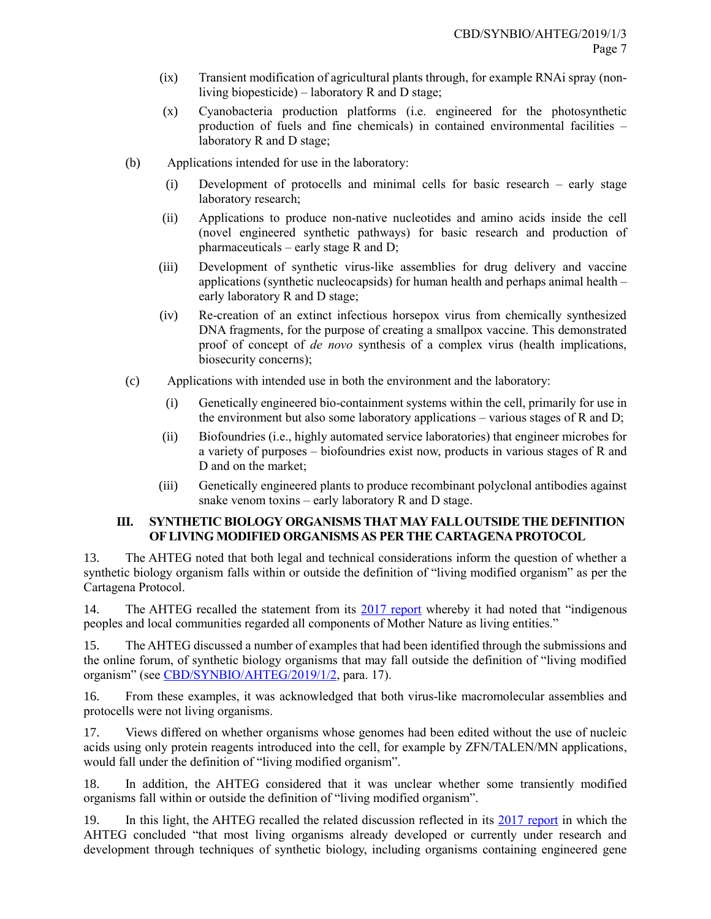- (ix) Transient modification of agricultural plants through, for example RNAi spray (nonliving biopesticide) – laboratory R and D stage;
- (x) Cyanobacteria production platforms (i.e. engineered for the photosynthetic production of fuels and fine chemicals) in contained environmental facilities – laboratory R and D stage;
- (b) Applications intended for use in the laboratory:
	- (i) Development of protocells and minimal cells for basic research early stage laboratory research;
	- (ii) Applications to produce non-native nucleotides and amino acids inside the cell (novel engineered synthetic pathways) for basic research and production of pharmaceuticals – early stage R and D;
	- (iii) Development of synthetic virus-like assemblies for drug delivery and vaccine applications (synthetic nucleocapsids) for human health and perhaps animal health – early laboratory R and D stage;
	- (iv) Re-creation of an extinct infectious horsepox virus from chemically synthesized DNA fragments, for the purpose of creating a smallpox vaccine. This demonstrated proof of concept of *de novo* synthesis of a complex virus (health implications, biosecurity concerns);
- (c) Applications with intended use in both the environment and the laboratory:
	- (i) Genetically engineered bio-containment systems within the cell, primarily for use in the environment but also some laboratory applications – various stages of R and D;
	- (ii) Biofoundries (i.e., highly automated service laboratories) that engineer microbes for a variety of purposes – biofoundries exist now, products in various stages of R and D and on the market;
	- (iii) Genetically engineered plants to produce recombinant polyclonal antibodies against snake venom toxins – early laboratory R and D stage.

# **III. SYNTHETIC BIOLOGY ORGANISMS THAT MAY FALL OUTSIDE THE DEFINITION OF LIVING MODIFIED ORGANISMS AS PER THE CARTAGENA PROTOCOL**

13. The AHTEG noted that both legal and technical considerations inform the question of whether a synthetic biology organism falls within or outside the definition of "living modified organism" as per the Cartagena Protocol.

14. The AHTEG recalled the statement from its [2017 report](https://www.cbd.int/doc/c/aa10/9160/6c3fcedf265dbee686715016/synbio-ahteg-2017-01-03-en.pdf) whereby it had noted that "indigenous peoples and local communities regarded all components of Mother Nature as living entities."

15. The AHTEG discussed a number of examples that had been identified through the submissions and the online forum, of synthetic biology organisms that may fall outside the definition of "living modified organism" (see [CBD/SYNBIO/AHTEG/2019/1/2,](https://www.cbd.int/doc/c/ce25/cb28/e5146103f15a131dd39103f0/synbio-ahteg-2019-01-02-en.pdf) para. 17).

16. From these examples, it was acknowledged that both virus-like macromolecular assemblies and protocells were not living organisms.

17. Views differed on whether organisms whose genomes had been edited without the use of nucleic acids using only protein reagents introduced into the cell, for example by ZFN/TALEN/MN applications, would fall under the definition of "living modified organism".

18. In addition, the AHTEG considered that it was unclear whether some transiently modified organisms fall within or outside the definition of "living modified organism".

19. In this light, the AHTEG recalled the related discussion reflected in its [2017 report](https://www.cbd.int/doc/c/aa10/9160/6c3fcedf265dbee686715016/synbio-ahteg-2017-01-03-en.pdf) in which the AHTEG concluded "that most living organisms already developed or currently under research and development through techniques of synthetic biology, including organisms containing engineered gene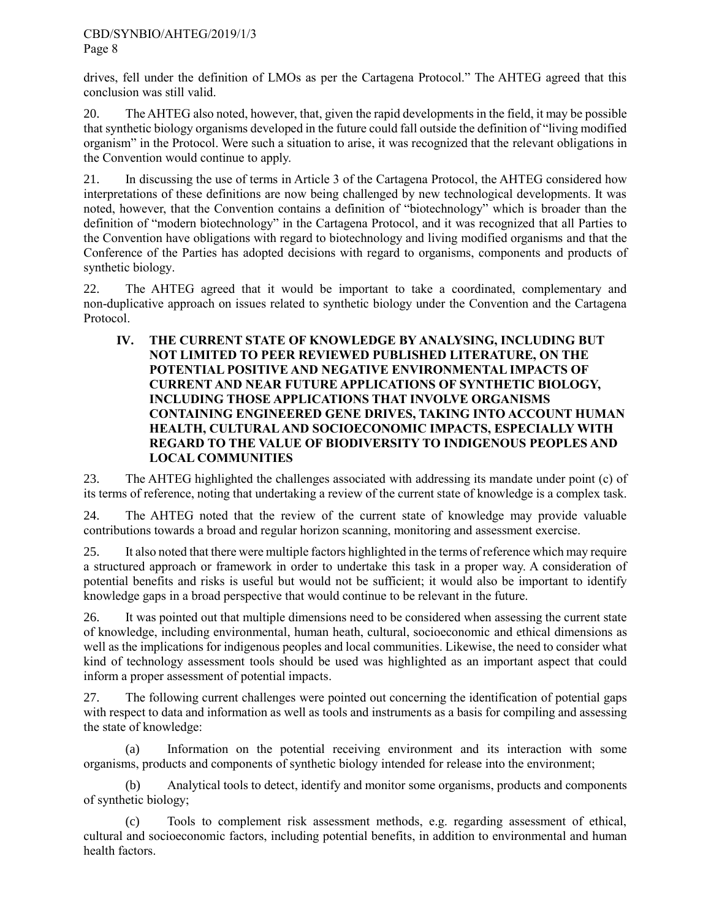## CBD/SYNBIO/AHTEG/2019/1/3 Page 8

drives, fell under the definition of LMOs as per the Cartagena Protocol." The AHTEG agreed that this conclusion was still valid.

20. The AHTEG also noted, however, that, given the rapid developments in the field, it may be possible that synthetic biology organisms developed in the future could fall outside the definition of "living modified organism" in the Protocol. Were such a situation to arise, it was recognized that the relevant obligations in the Convention would continue to apply.

21. In discussing the use of terms in Article 3 of the Cartagena Protocol, the AHTEG considered how interpretations of these definitions are now being challenged by new technological developments. It was noted, however, that the Convention contains a definition of "biotechnology" which is broader than the definition of "modern biotechnology" in the Cartagena Protocol, and it was recognized that all Parties to the Convention have obligations with regard to biotechnology and living modified organisms and that the Conference of the Parties has adopted decisions with regard to organisms, components and products of synthetic biology.

22. The AHTEG agreed that it would be important to take a coordinated, complementary and non-duplicative approach on issues related to synthetic biology under the Convention and the Cartagena Protocol.

**IV. THE CURRENT STATE OF KNOWLEDGE BY ANALYSING, INCLUDING BUT NOT LIMITED TO PEER REVIEWED PUBLISHED LITERATURE, ON THE POTENTIAL POSITIVE AND NEGATIVE ENVIRONMENTAL IMPACTS OF CURRENT AND NEAR FUTURE APPLICATIONS OF SYNTHETIC BIOLOGY, INCLUDING THOSE APPLICATIONS THAT INVOLVE ORGANISMS CONTAINING ENGINEERED GENE DRIVES, TAKING INTO ACCOUNT HUMAN HEALTH, CULTURAL AND SOCIOECONOMIC IMPACTS, ESPECIALLY WITH REGARD TO THE VALUE OF BIODIVERSITY TO INDIGENOUS PEOPLES AND LOCAL COMMUNITIES**

23. The AHTEG highlighted the challenges associated with addressing its mandate under point (c) of its terms of reference, noting that undertaking a review of the current state of knowledge is a complex task.

24. The AHTEG noted that the review of the current state of knowledge may provide valuable contributions towards a broad and regular horizon scanning, monitoring and assessment exercise.

25. It also noted that there were multiple factors highlighted in the terms of reference which may require a structured approach or framework in order to undertake this task in a proper way. A consideration of potential benefits and risks is useful but would not be sufficient; it would also be important to identify knowledge gaps in a broad perspective that would continue to be relevant in the future.

26. It was pointed out that multiple dimensions need to be considered when assessing the current state of knowledge, including environmental, human heath, cultural, socioeconomic and ethical dimensions as well as the implications for indigenous peoples and local communities. Likewise, the need to consider what kind of technology assessment tools should be used was highlighted as an important aspect that could inform a proper assessment of potential impacts.

27. The following current challenges were pointed out concerning the identification of potential gaps with respect to data and information as well as tools and instruments as a basis for compiling and assessing the state of knowledge:

(a) Information on the potential receiving environment and its interaction with some organisms, products and components of synthetic biology intended for release into the environment;

(b) Analytical tools to detect, identify and monitor some organisms, products and components of synthetic biology;

(c) Tools to complement risk assessment methods, e.g. regarding assessment of ethical, cultural and socioeconomic factors, including potential benefits, in addition to environmental and human health factors.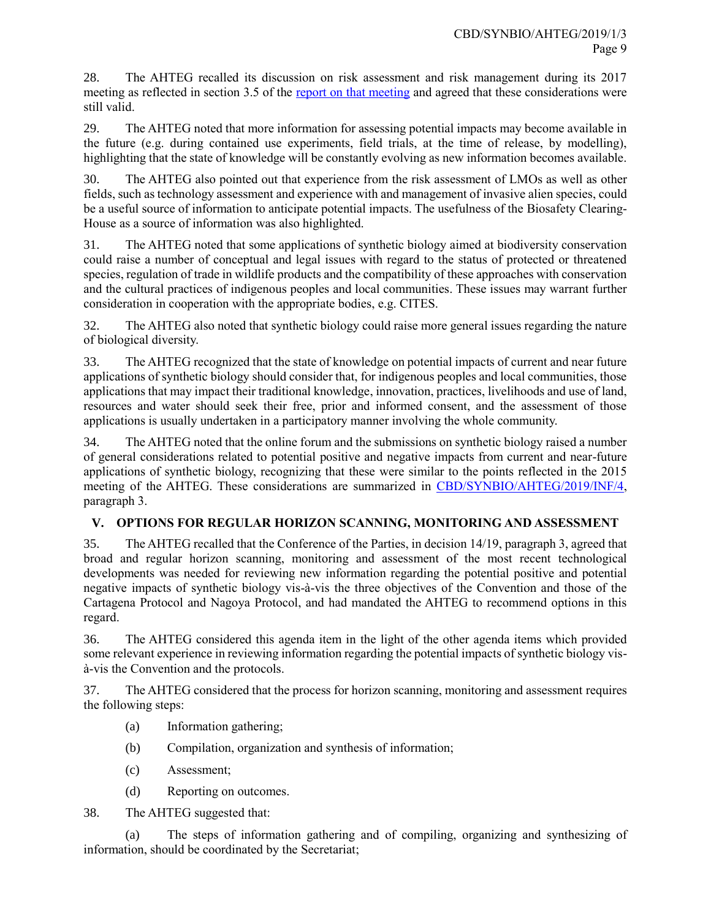28. The AHTEG recalled its discussion on risk assessment and risk management during its 2017 meeting as reflected in section 3.5 of the report on [that meeting](https://www.cbd.int/doc/c/aa10/9160/6c3fcedf265dbee686715016/synbio-ahteg-2017-01-03-en.pdf) and agreed that these considerations were still valid.

29. The AHTEG noted that more information for assessing potential impacts may become available in the future (e.g. during contained use experiments, field trials, at the time of release, by modelling), highlighting that the state of knowledge will be constantly evolving as new information becomes available.

30. The AHTEG also pointed out that experience from the risk assessment of LMOs as well as other fields, such as technology assessment and experience with and management of invasive alien species, could be a useful source of information to anticipate potential impacts. The usefulness of the Biosafety Clearing-House as a source of information was also highlighted.

31. The AHTEG noted that some applications of synthetic biology aimed at biodiversity conservation could raise a number of conceptual and legal issues with regard to the status of protected or threatened species, regulation of trade in wildlife products and the compatibility of these approaches with conservation and the cultural practices of indigenous peoples and local communities. These issues may warrant further consideration in cooperation with the appropriate bodies, e.g. CITES.

32. The AHTEG also noted that synthetic biology could raise more general issues regarding the nature of biological diversity.

33. The AHTEG recognized that the state of knowledge on potential impacts of current and near future applications of synthetic biology should consider that, for indigenous peoples and local communities, those applications that may impact their traditional knowledge, innovation, practices, livelihoods and use of land, resources and water should seek their free, prior and informed consent, and the assessment of those applications is usually undertaken in a participatory manner involving the whole community.

34. The AHTEG noted that the online forum and the submissions on synthetic biology raised a number of general considerations related to potential positive and negative impacts from current and near-future applications of synthetic biology, recognizing that these were similar to the points reflected in the 2015 meeting of the AHTEG. These considerations are summarized in [CBD/SYNBIO/AHTEG/2019/INF/4,](https://www.cbd.int/doc/c/b512/a227/b9ab92674c7c8d453a220f9d/synbio-ahteg-2019-01-inf-04-en.pdf) paragraph 3.

# **V. OPTIONS FOR REGULAR HORIZON SCANNING, MONITORING AND ASSESSMENT**

35. The AHTEG recalled that the Conference of the Parties, in decision 14/19, paragraph 3, agreed that broad and regular horizon scanning, monitoring and assessment of the most recent technological developments was needed for reviewing new information regarding the potential positive and potential negative impacts of synthetic biology vis-à-vis the three objectives of the Convention and those of the Cartagena Protocol and Nagoya Protocol, and had mandated the AHTEG to recommend options in this regard.

36. The AHTEG considered this agenda item in the light of the other agenda items which provided some relevant experience in reviewing information regarding the potential impacts of synthetic biology visà-vis the Convention and the protocols.

37. The AHTEG considered that the process for horizon scanning, monitoring and assessment requires the following steps:

- (a) Information gathering;
- (b) Compilation, organization and synthesis of information;
- (c) Assessment;
- (d) Reporting on outcomes.

38. The AHTEG suggested that:

(a) The steps of information gathering and of compiling, organizing and synthesizing of information, should be coordinated by the Secretariat;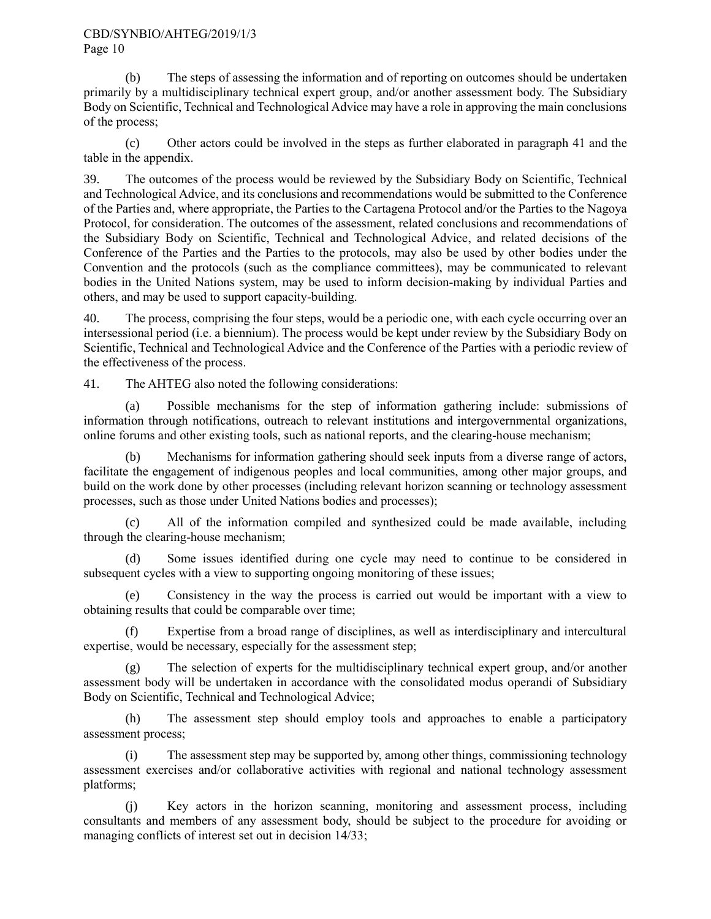#### CBD/SYNBIO/AHTEG/2019/1/3 Page 10

(b) The steps of assessing the information and of reporting on outcomes should be undertaken primarily by a multidisciplinary technical expert group, and/or another assessment body. The Subsidiary Body on Scientific, Technical and Technological Advice may have a role in approving the main conclusions of the process;

(c) Other actors could be involved in the steps as further elaborated in paragraph 41 and the table in the appendix.

39. The outcomes of the process would be reviewed by the Subsidiary Body on Scientific, Technical and Technological Advice, and its conclusions and recommendations would be submitted to the Conference of the Parties and, where appropriate, the Parties to the Cartagena Protocol and/or the Parties to the Nagoya Protocol, for consideration. The outcomes of the assessment, related conclusions and recommendations of the Subsidiary Body on Scientific, Technical and Technological Advice, and related decisions of the Conference of the Parties and the Parties to the protocols, may also be used by other bodies under the Convention and the protocols (such as the compliance committees), may be communicated to relevant bodies in the United Nations system, may be used to inform decision-making by individual Parties and others, and may be used to support capacity-building.

40. The process, comprising the four steps, would be a periodic one, with each cycle occurring over an intersessional period (i.e. a biennium). The process would be kept under review by the Subsidiary Body on Scientific, Technical and Technological Advice and the Conference of the Parties with a periodic review of the effectiveness of the process.

41. The AHTEG also noted the following considerations:

(a) Possible mechanisms for the step of information gathering include: submissions of information through notifications, outreach to relevant institutions and intergovernmental organizations, online forums and other existing tools, such as national reports, and the clearing-house mechanism;

(b) Mechanisms for information gathering should seek inputs from a diverse range of actors, facilitate the engagement of indigenous peoples and local communities, among other major groups, and build on the work done by other processes (including relevant horizon scanning or technology assessment processes, such as those under United Nations bodies and processes);

(c) All of the information compiled and synthesized could be made available, including through the clearing-house mechanism;

(d) Some issues identified during one cycle may need to continue to be considered in subsequent cycles with a view to supporting ongoing monitoring of these issues;

(e) Consistency in the way the process is carried out would be important with a view to obtaining results that could be comparable over time;

Expertise from a broad range of disciplines, as well as interdisciplinary and intercultural expertise, would be necessary, especially for the assessment step;

(g) The selection of experts for the multidisciplinary technical expert group, and/or another assessment body will be undertaken in accordance with the consolidated modus operandi of Subsidiary Body on Scientific, Technical and Technological Advice;

(h) The assessment step should employ tools and approaches to enable a participatory assessment process;

(i) The assessment step may be supported by, among other things, commissioning technology assessment exercises and/or collaborative activities with regional and national technology assessment platforms;

(j) Key actors in the horizon scanning, monitoring and assessment process, including consultants and members of any assessment body, should be subject to the procedure for avoiding or managing conflicts of interest set out in decision 14/33;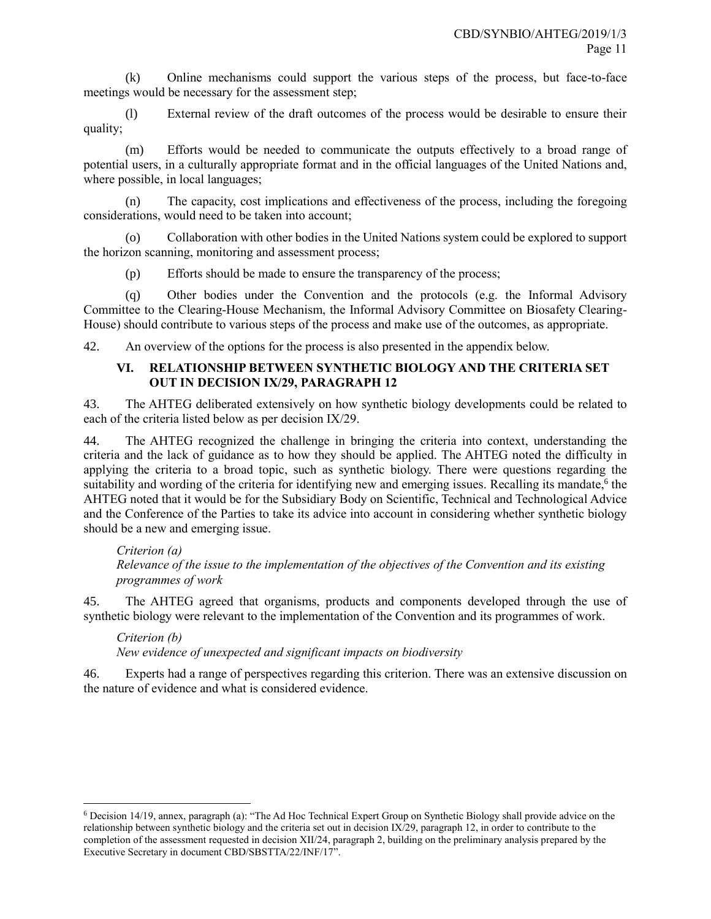(k) Online mechanisms could support the various steps of the process, but face-to-face meetings would be necessary for the assessment step;

(l) External review of the draft outcomes of the process would be desirable to ensure their quality;

(m) Efforts would be needed to communicate the outputs effectively to a broad range of potential users, in a culturally appropriate format and in the official languages of the United Nations and, where possible, in local languages;

(n) The capacity, cost implications and effectiveness of the process, including the foregoing considerations, would need to be taken into account;

(o) Collaboration with other bodies in the United Nations system could be explored to support the horizon scanning, monitoring and assessment process;

(p) Efforts should be made to ensure the transparency of the process;

(q) Other bodies under the Convention and the protocols (e.g. the Informal Advisory Committee to the Clearing-House Mechanism, the Informal Advisory Committee on Biosafety Clearing-House) should contribute to various steps of the process and make use of the outcomes, as appropriate.

42. An overview of the options for the process is also presented in the appendix below.

# **VI. RELATIONSHIP BETWEEN SYNTHETIC BIOLOGY AND THE CRITERIA SET OUT IN DECISION IX/29, PARAGRAPH 12**

43. The AHTEG deliberated extensively on how synthetic biology developments could be related to each of the criteria listed below as per decision IX/29.

44. The AHTEG recognized the challenge in bringing the criteria into context, understanding the criteria and the lack of guidance as to how they should be applied. The AHTEG noted the difficulty in applying the criteria to a broad topic, such as synthetic biology. There were questions regarding the suitability and wording of the criteria for identifying new and emerging issues. Recalling its mandate,<sup>6</sup> the AHTEG noted that it would be for the Subsidiary Body on Scientific, Technical and Technological Advice and the Conference of the Parties to take its advice into account in considering whether synthetic biology should be a new and emerging issue.

*Criterion (a) Relevance of the issue to the implementation of the objectives of the Convention and its existing programmes of work*

45. The AHTEG agreed that organisms, products and components developed through the use of synthetic biology were relevant to the implementation of the Convention and its programmes of work.

*Criterion (b) New evidence of unexpected and significant impacts on biodiversity*

l

46. Experts had a range of perspectives regarding this criterion. There was an extensive discussion on the nature of evidence and what is considered evidence.

<sup>6</sup> Decision 14/19, annex, paragraph (a): "The Ad Hoc Technical Expert Group on Synthetic Biology shall provide advice on the relationship between synthetic biology and the criteria set out in decision IX/29, paragraph 12, in order to contribute to the completion of the assessment requested in decision XII/24, paragraph 2, building on the preliminary analysis prepared by the Executive Secretary in document CBD/SBSTTA/22/INF/17".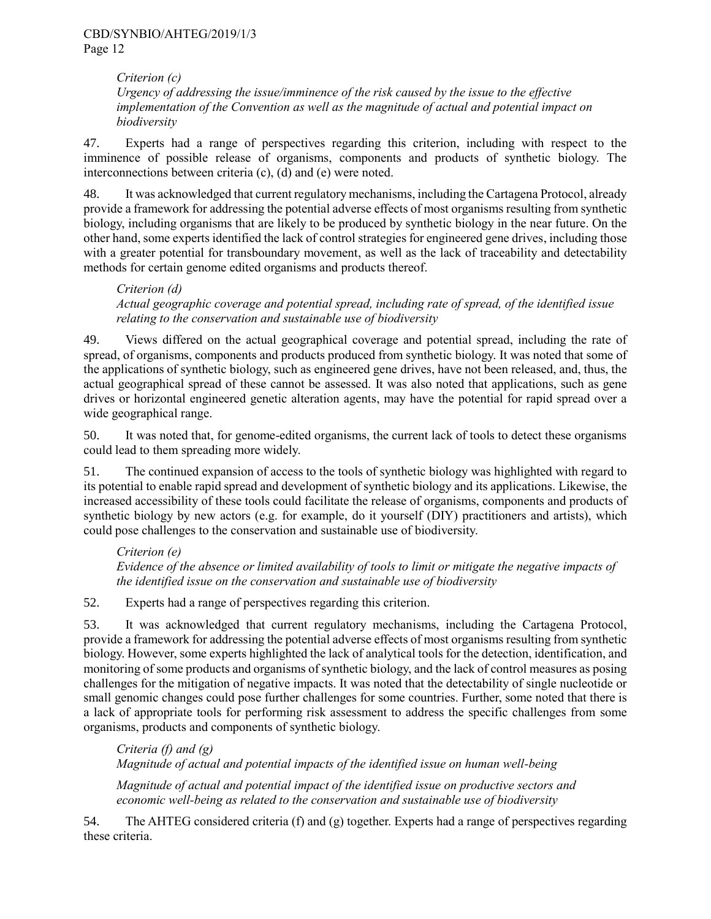*Criterion (c) Urgency of addressing the issue/imminence of the risk caused by the issue to the effective implementation of the Convention as well as the magnitude of actual and potential impact on biodiversity*

47. Experts had a range of perspectives regarding this criterion, including with respect to the imminence of possible release of organisms, components and products of synthetic biology. The interconnections between criteria (c), (d) and (e) were noted.

48. It was acknowledged that current regulatory mechanisms, including the Cartagena Protocol, already provide a framework for addressing the potential adverse effects of most organisms resulting from synthetic biology, including organisms that are likely to be produced by synthetic biology in the near future. On the other hand, some experts identified the lack of control strategies for engineered gene drives, including those with a greater potential for transboundary movement, as well as the lack of traceability and detectability methods for certain genome edited organisms and products thereof.

## *Criterion (d) Actual geographic coverage and potential spread, including rate of spread, of the identified issue relating to the conservation and sustainable use of biodiversity*

49. Views differed on the actual geographical coverage and potential spread, including the rate of spread, of organisms, components and products produced from synthetic biology. It was noted that some of the applications of synthetic biology, such as engineered gene drives, have not been released, and, thus, the actual geographical spread of these cannot be assessed. It was also noted that applications, such as gene drives or horizontal engineered genetic alteration agents, may have the potential for rapid spread over a wide geographical range.

50. It was noted that, for genome-edited organisms, the current lack of tools to detect these organisms could lead to them spreading more widely.

51. The continued expansion of access to the tools of synthetic biology was highlighted with regard to its potential to enable rapid spread and development of synthetic biology and its applications. Likewise, the increased accessibility of these tools could facilitate the release of organisms, components and products of synthetic biology by new actors (e.g. for example, do it yourself (DIY) practitioners and artists), which could pose challenges to the conservation and sustainable use of biodiversity.

*Criterion (e) Evidence of the absence or limited availability of tools to limit or mitigate the negative impacts of the identified issue on the conservation and sustainable use of biodiversity*

52. Experts had a range of perspectives regarding this criterion.

53. It was acknowledged that current regulatory mechanisms, including the Cartagena Protocol, provide a framework for addressing the potential adverse effects of most organisms resulting from synthetic biology. However, some experts highlighted the lack of analytical tools for the detection, identification, and monitoring of some products and organisms of synthetic biology, and the lack of control measures as posing challenges for the mitigation of negative impacts. It was noted that the detectability of single nucleotide or small genomic changes could pose further challenges for some countries. Further, some noted that there is a lack of appropriate tools for performing risk assessment to address the specific challenges from some organisms, products and components of synthetic biology.

*Criteria (f) and (g) Magnitude of actual and potential impacts of the identified issue on human well-being*

*Magnitude of actual and potential impact of the identified issue on productive sectors and economic well-being as related to the conservation and sustainable use of biodiversity*

54. The AHTEG considered criteria (f) and (g) together. Experts had a range of perspectives regarding these criteria.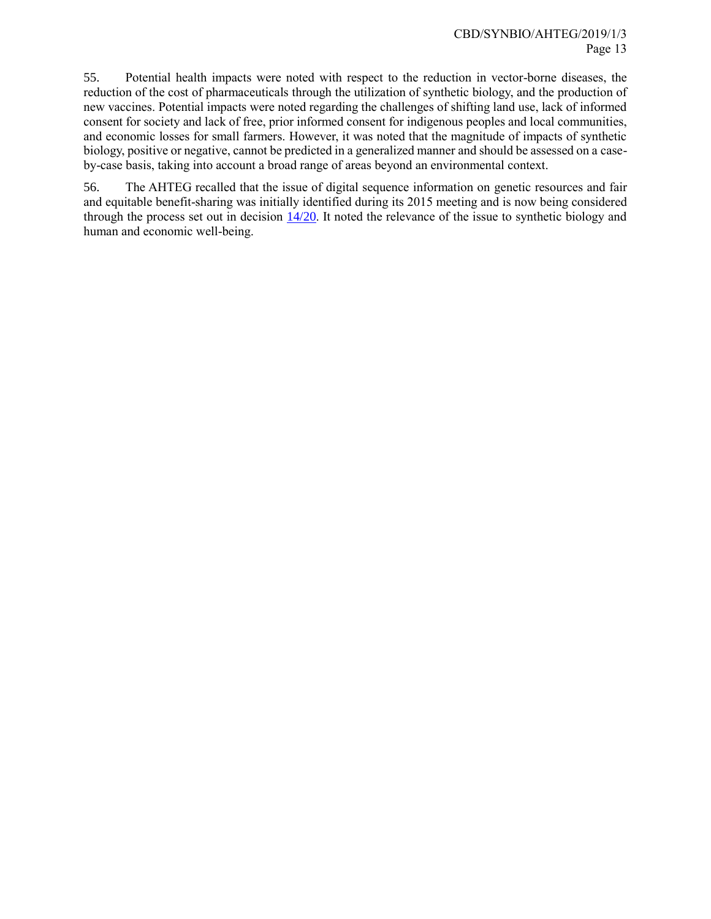55. Potential health impacts were noted with respect to the reduction in vector-borne diseases, the reduction of the cost of pharmaceuticals through the utilization of synthetic biology, and the production of new vaccines. Potential impacts were noted regarding the challenges of shifting land use, lack of informed consent for society and lack of free, prior informed consent for indigenous peoples and local communities, and economic losses for small farmers. However, it was noted that the magnitude of impacts of synthetic biology, positive or negative, cannot be predicted in a generalized manner and should be assessed on a caseby-case basis, taking into account a broad range of areas beyond an environmental context.

56. The AHTEG recalled that the issue of digital sequence information on genetic resources and fair and equitable benefit-sharing was initially identified during its 2015 meeting and is now being considered through the process set out in decision  $\frac{14}{20}$ . It noted the relevance of the issue to synthetic biology and human and economic well-being.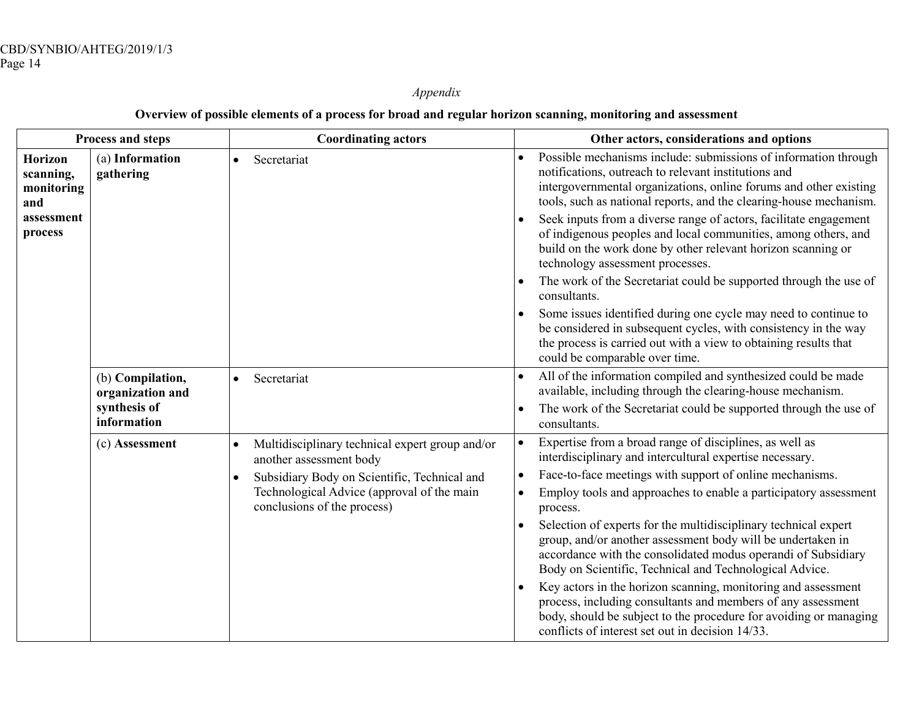*Appendix*

# **Overview of possible elements of a process for broad and regular horizon scanning, monitoring and assessment**

| Process and steps                                                         |                                      | <b>Coordinating actors</b>                                                 | Other actors, considerations and options                                                                                                                                                                                                                           |
|---------------------------------------------------------------------------|--------------------------------------|----------------------------------------------------------------------------|--------------------------------------------------------------------------------------------------------------------------------------------------------------------------------------------------------------------------------------------------------------------|
| <b>Horizon</b><br>scanning,<br>monitoring<br>and<br>assessment<br>process | (a) Information<br>gathering         | Secretariat<br>$\bullet$                                                   | Possible mechanisms include: submissions of information through<br>notifications, outreach to relevant institutions and<br>intergovernmental organizations, online forums and other existing<br>tools, such as national reports, and the clearing-house mechanism. |
|                                                                           |                                      |                                                                            | Seek inputs from a diverse range of actors, facilitate engagement<br>of indigenous peoples and local communities, among others, and<br>build on the work done by other relevant horizon scanning or<br>technology assessment processes.                            |
|                                                                           |                                      |                                                                            | The work of the Secretariat could be supported through the use of<br>consultants.                                                                                                                                                                                  |
|                                                                           |                                      |                                                                            | Some issues identified during one cycle may need to continue to<br>be considered in subsequent cycles, with consistency in the way<br>the process is carried out with a view to obtaining results that<br>could be comparable over time.                           |
|                                                                           | (b) Compilation,<br>organization and | Secretariat<br>$\bullet$                                                   | All of the information compiled and synthesized could be made<br>available, including through the clearing-house mechanism.                                                                                                                                        |
|                                                                           | synthesis of<br>information          |                                                                            | The work of the Secretariat could be supported through the use of<br>consultants.                                                                                                                                                                                  |
|                                                                           | (c) Assessment                       | Multidisciplinary technical expert group and/or<br>another assessment body | Expertise from a broad range of disciplines, as well as<br>$\bullet$<br>interdisciplinary and intercultural expertise necessary.                                                                                                                                   |
|                                                                           |                                      | Subsidiary Body on Scientific, Technical and                               | Face-to-face meetings with support of online mechanisms.<br>$\bullet$                                                                                                                                                                                              |
|                                                                           |                                      | Technological Advice (approval of the main<br>conclusions of the process)  | Employ tools and approaches to enable a participatory assessment<br>$\bullet$<br>process.                                                                                                                                                                          |
|                                                                           |                                      |                                                                            | Selection of experts for the multidisciplinary technical expert<br>group, and/or another assessment body will be undertaken in<br>accordance with the consolidated modus operandi of Subsidiary<br>Body on Scientific, Technical and Technological Advice.         |
|                                                                           |                                      |                                                                            | Key actors in the horizon scanning, monitoring and assessment<br>process, including consultants and members of any assessment<br>body, should be subject to the procedure for avoiding or managing<br>conflicts of interest set out in decision 14/33.             |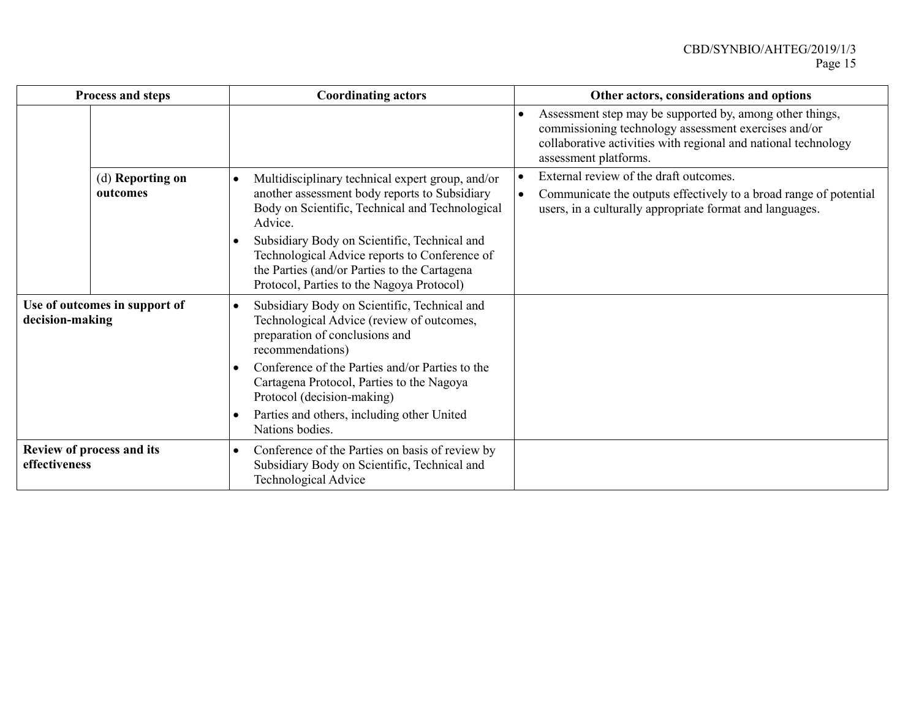| Process and steps                                | <b>Coordinating actors</b>                                                                                                                                                                                                                                                                                                                                                              | Other actors, considerations and options                                                                                                                                                                    |
|--------------------------------------------------|-----------------------------------------------------------------------------------------------------------------------------------------------------------------------------------------------------------------------------------------------------------------------------------------------------------------------------------------------------------------------------------------|-------------------------------------------------------------------------------------------------------------------------------------------------------------------------------------------------------------|
|                                                  |                                                                                                                                                                                                                                                                                                                                                                                         | Assessment step may be supported by, among other things,<br>commissioning technology assessment exercises and/or<br>collaborative activities with regional and national technology<br>assessment platforms. |
| (d) Reporting on<br>outcomes                     | Multidisciplinary technical expert group, and/or<br>$\bullet$<br>another assessment body reports to Subsidiary<br>Body on Scientific, Technical and Technological<br>Advice.<br>Subsidiary Body on Scientific, Technical and<br>$\bullet$<br>Technological Advice reports to Conference of<br>the Parties (and/or Parties to the Cartagena<br>Protocol, Parties to the Nagoya Protocol) | External review of the draft outcomes.<br>Communicate the outputs effectively to a broad range of potential<br>users, in a culturally appropriate format and languages.                                     |
| Use of outcomes in support of<br>decision-making | Subsidiary Body on Scientific, Technical and<br>$\bullet$<br>Technological Advice (review of outcomes,<br>preparation of conclusions and<br>recommendations)<br>Conference of the Parties and/or Parties to the<br>$\bullet$<br>Cartagena Protocol, Parties to the Nagoya<br>Protocol (decision-making)<br>Parties and others, including other United<br>$\bullet$<br>Nations bodies.   |                                                                                                                                                                                                             |
| Review of process and its<br>effectiveness       | Conference of the Parties on basis of review by<br>$\bullet$<br>Subsidiary Body on Scientific, Technical and<br><b>Technological Advice</b>                                                                                                                                                                                                                                             |                                                                                                                                                                                                             |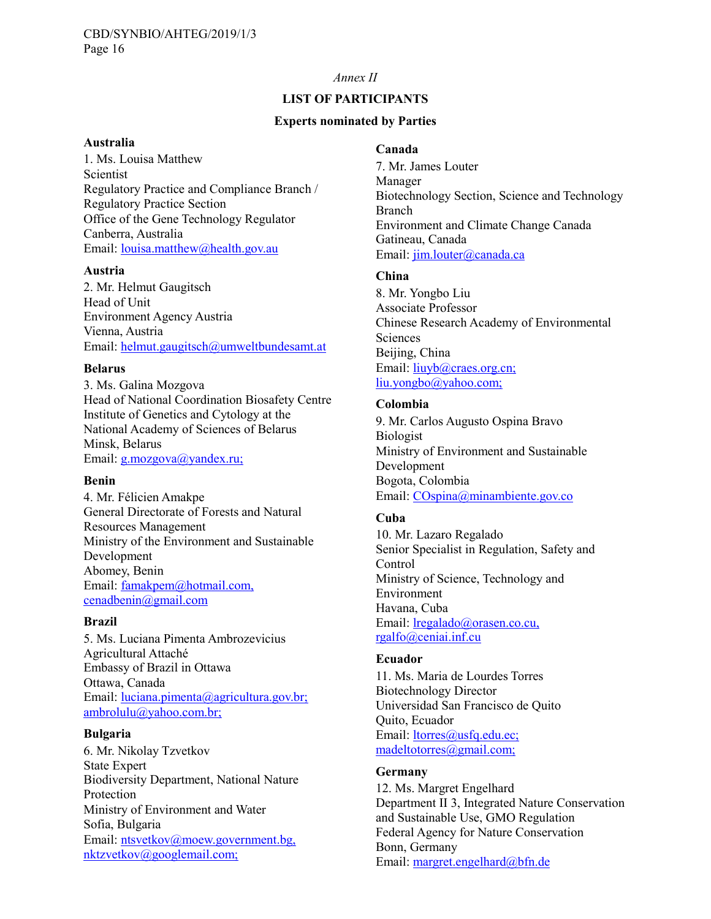### *Annex II*

# **LIST OF PARTICIPANTS**

#### **Experts nominated by Parties**

#### **Australia**

1. Ms. Louisa Matthew Scientist Regulatory Practice and Compliance Branch / Regulatory Practice Section Office of the Gene Technology Regulator Canberra, Australia Email: louisa.matthew@health.gov.au

#### **Austria**

2. Mr. Helmut Gaugitsch Head of Unit Environment Agency Austria Vienna, Austria Email: helmut.gaugitsch@umweltbundesamt.at

#### **Belarus**

3. Ms. Galina Mozgova Head of National Coordination Biosafety Centre Institute of Genetics and Cytology at the National Academy of Sciences of Belarus Minsk, Belarus Email: g.mozgova@yandex.ru;

#### **Benin**

4. Mr. Félicien Amakpe General Directorate of Forests and Natural Resources Management Ministry of the Environment and Sustainable Development Abomey, Benin Email: famakpem@hotmail.com, cenadbenin@gmail.com

#### **Brazil**

5. Ms. Luciana Pimenta Ambrozevicius Agricultural Attaché Embassy of Brazil in Ottawa Ottawa, Canada Email: luciana.pimenta@agricultura.gov.br; ambrolulu@yahoo.com.br;

#### **Bulgaria**

6. Mr. Nikolay Tzvetkov State Expert Biodiversity Department, National Nature Protection Ministry of Environment and Water Sofia, Bulgaria Email: ntsvetkov@moew.government.bg, nktzvetkov@googlemail.com;

### **Canada**

7. Mr. James Louter Manager Biotechnology Section, Science and Technology Branch Environment and Climate Change Canada Gatineau, Canada Email: jim.louter@canada.ca

## **China**

8. Mr. Yongbo Liu Associate Professor Chinese Research Academy of Environmental Sciences Beijing, China Email: liuyb@craes.org.cn; liu.yongbo@yahoo.com;

#### **Colombia**

9. Mr. Carlos Augusto Ospina Bravo Biologist Ministry of Environment and Sustainable Development Bogota, Colombia Email: COspina@minambiente.gov.co

## **Cuba**

10. Mr. Lazaro Regalado Senior Specialist in Regulation, Safety and Control Ministry of Science, Technology and Environment Havana, Cuba Email: lregalado@orasen.co.cu, rgalfo@ceniai.inf.cu

#### **Ecuador**

11. Ms. Maria de Lourdes Torres Biotechnology Director Universidad San Francisco de Quito Quito, Ecuador Email: ltorres@usfq.edu.ec; madeltotorres@gmail.com;

# **Germany**

12. Ms. Margret Engelhard Department II 3, Integrated Nature Conservation and Sustainable Use, GMO Regulation Federal Agency for Nature Conservation Bonn, Germany Email: margret.engelhard@bfn.de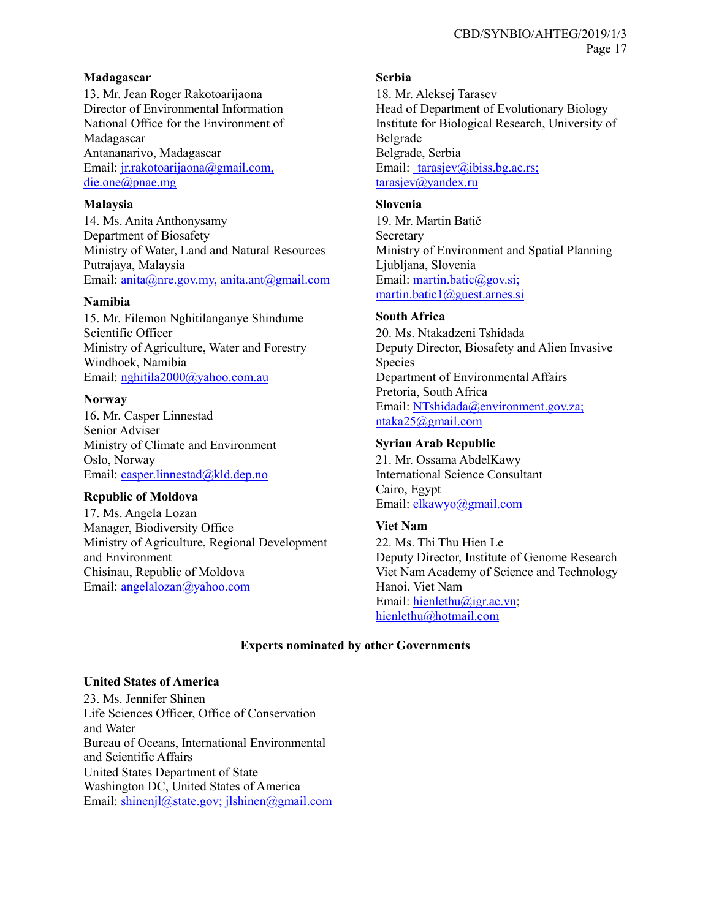## **Madagascar**

13. Mr. Jean Roger Rakotoarijaona Director of Environmental Information National Office for the Environment of Madagascar Antananarivo, Madagascar Email: jr.rakotoarijaona@gmail.com, die.one@pnae.mg

## **Malaysia**

14. Ms. Anita Anthonysamy Department of Biosafety Ministry of Water, Land and Natural Resources Putrajaya, Malaysia Email: anita@nre.gov.my, anita.ant@gmail.com

# **Namibia**

15. Mr. Filemon Nghitilanganye Shindume Scientific Officer Ministry of Agriculture, Water and Forestry Windhoek, Namibia Email: nghitila2000@yahoo.com.au

# **Norway**

16. Mr. Casper Linnestad Senior Adviser Ministry of Climate and Environment Oslo, Norway Email: casper.linnestad@kld.dep.no

## **Republic of Moldova**

17. Ms. Angela Lozan Manager, Biodiversity Office Ministry of Agriculture, Regional Development and Environment Chisinau, Republic of Moldova Email: angelalozan@yahoo.com

# **Serbia**

18. Mr. Aleksej Tarasev Head of Department of Evolutionary Biology Institute for Biological Research, University of Belgrade Belgrade, Serbia Email: tarasjev@ibiss.bg.ac.rs; [tarasjev@yandex.ru](mailto:tarasjev@yandex.ru)

## **Slovenia**

19. Mr. Martin Batič **Secretary** Ministry of Environment and Spatial Planning Ljubljana, Slovenia Email: martin.batic@gov.si; martin.batic1@guest.arnes.si

# **South Africa**

20. Ms. Ntakadzeni Tshidada Deputy Director, Biosafety and Alien Invasive Species Department of Environmental Affairs Pretoria, South Africa Email: NTshidada@environment.gov.za; ntaka25@gmail.com

# **Syrian Arab Republic**

21. Mr. Ossama AbdelKawy International Science Consultant Cairo, Egypt Email: [elkawyo@gmail.com](mailto:elkawyo@gmail.com)

# **Viet Nam**

22. Ms. Thi Thu Hien Le Deputy Director, Institute of Genome Research Viet Nam Academy of Science and Technology Hanoi, Viet Nam Email: [hienlethu@igr.ac.vn;](mailto:hienlethu@igr.ac.vn) [hienlethu@hotmail.com](mailto:hienlethu@hotmail.com)

## **Experts nominated by other Governments**

## **United States of America**

23. Ms. Jennifer Shinen Life Sciences Officer, Office of Conservation and Water Bureau of Oceans, International Environmental and Scientific Affairs United States Department of State Washington DC, United States of America Email: shinenjl@state.gov; jlshinen@gmail.com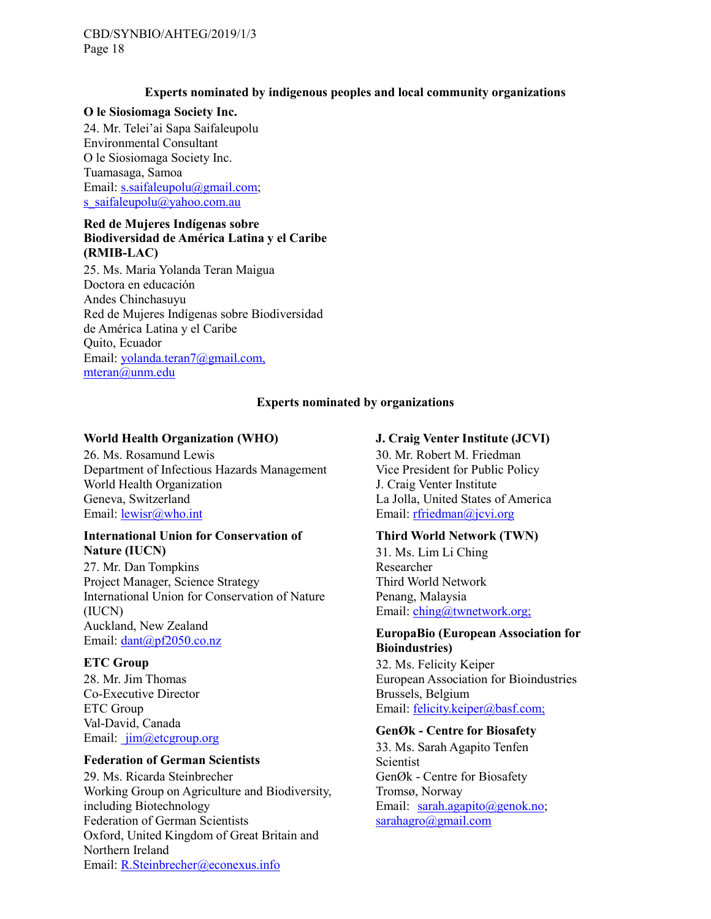# **Experts nominated by indigenous peoples and local community organizations**

## **O le Siosiomaga Society Inc.**

24. Mr. Telei'ai Sapa Saifaleupolu Environmental Consultant O le Siosiomaga Society Inc. Tuamasaga, Samoa Email: [s.saifaleupolu@gmail.com;](mailto:s.saifaleupolu@gmail.com) [s\\_saifaleupolu@yahoo.com.au](mailto:s_saifaleupolu@yahoo.com.au)

# **Red de Mujeres Indígenas sobre Biodiversidad de América Latina y el Caribe (RMIB-LAC)**

25. Ms. Maria Yolanda Teran Maigua Doctora en educación Andes Chinchasuyu Red de Mujeres Indígenas sobre Biodiversidad de América Latina y el Caribe Quito, Ecuador Email: yolanda.teran7@gmail.com, mteran@unm.edu

# **Experts nominated by organizations**

# **World Health Organization (WHO)**

26. Ms. Rosamund Lewis Department of Infectious Hazards Management World Health Organization Geneva, Switzerland Email: lewisr@who.int

#### **International Union for Conservation of Nature (IUCN)**

27. Mr. Dan Tompkins Project Manager, Science Strategy International Union for Conservation of Nature (IUCN) Auckland, New Zealand Email: dant@pf2050.co.nz

## **ETC Group**

28. Mr. Jim Thomas Co-Executive Director ETC Group Val-David, Canada Email: jim@etcgroup.org

## **Federation of German Scientists**

29. Ms. Ricarda Steinbrecher Working Group on Agriculture and Biodiversity, including Biotechnology Federation of German Scientists Oxford, United Kingdom of Great Britain and Northern Ireland Email: [R.Steinbrecher@econexus.info](mailto:R.Steinbrecher@econexus.info)

# **J. Craig Venter Institute (JCVI)**

30. Mr. Robert M. Friedman Vice President for Public Policy J. Craig Venter Institute La Jolla, United States of America Email: rfriedman@jcvi.org

## **Third World Network (TWN)**

31. Ms. Lim Li Ching Researcher Third World Network Penang, Malaysia Email: ching@twnetwork.org;

## **EuropaBio (European Association for Bioindustries)**

32. Ms. Felicity Keiper European Association for Bioindustries Brussels, Belgium Email: [felicity.keiper@basf.com;](mailto:felicity.keiper@basf.com)

## **GenØk - Centre for Biosafety**

33. Ms. Sarah Agapito Tenfen Scientist GenØk - Centre for Biosafety Tromsø, Norway Email: [sarah.agapito@genok.no;](mailto:sarah.agapito@genok.no) [sarahagro@gmail.com](mailto:sarahagro@gmail.com)